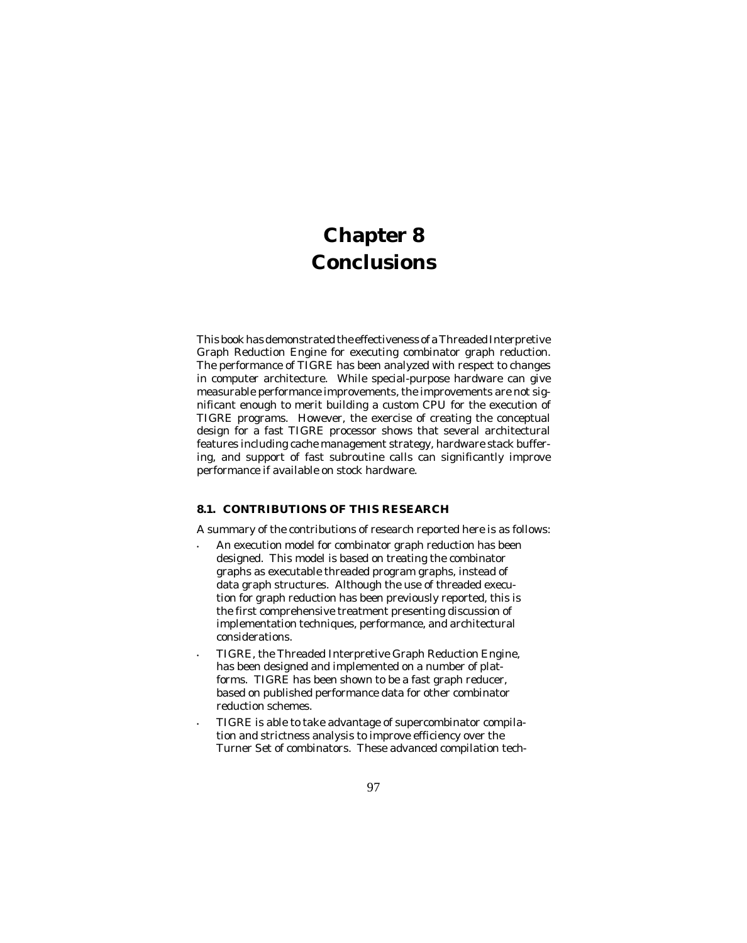## **Chapter 8 Conclusions**

This book has demonstrated the effectiveness of a Threaded Interpretive Graph Reduction Engine for executing combinator graph reduction. The performance of TIGRE has been analyzed with respect to changes in computer architecture. While special-purpose hardware can give measurable performance improvements, the improvements are not significant enough to merit building a custom CPU for the execution of TIGRE programs. However, the exercise of creating the conceptual design for a fast TIGRE processor shows that several architectural features including cache management strategy, hardware stack buffering, and support of fast subroutine calls can significantly improve performance if available on stock hardware.

## **8.1. CONTRIBUTIONS OF THIS RESEARCH**

A summary of the contributions of research reported here is as follows:

- An execution model for combinator graph reduction has been designed. This model is based on treating the combinator graphs as executable threaded program graphs, instead of data graph structures. Although the use of threaded execution for graph reduction has been previously reported, this is the first comprehensive treatment presenting discussion of implementation techniques, performance, and architectural considerations.
- TIGRE, the Threaded Interpretive Graph Reduction Engine, has been designed and implemented on a number of platforms. TIGRE has been shown to be a fast graph reducer, based on published performance data for other combinator reduction schemes.
- TIGRE is able to take advantage of supercombinator compilation and strictness analysis to improve efficiency over the Turner Set of combinators. These advanced compilation tech-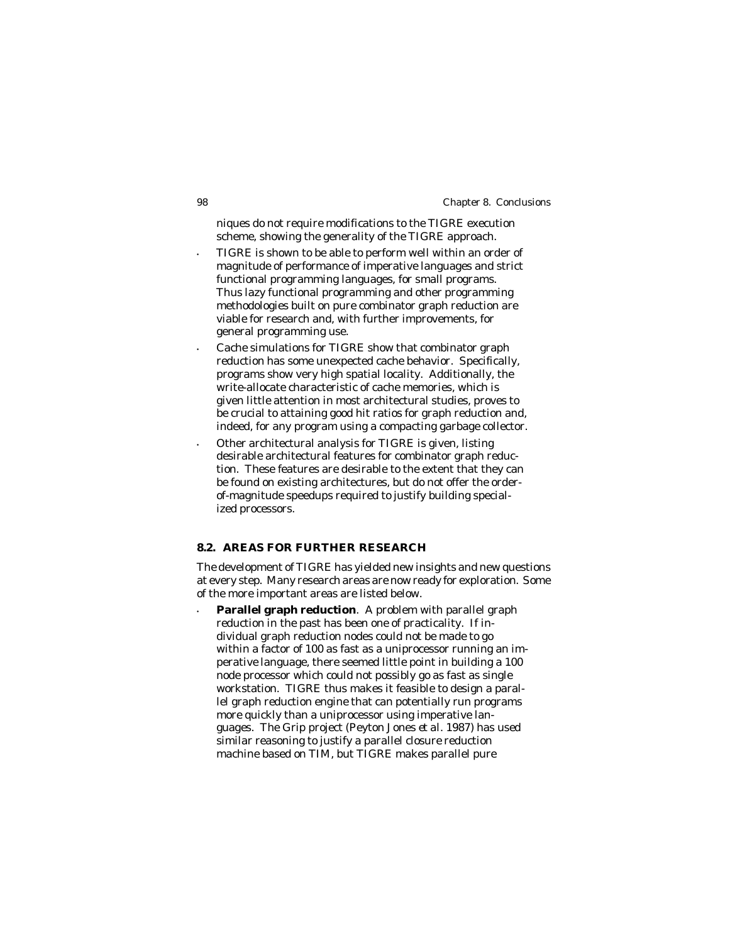98 Chapter 8. Conclusions

niques do not require modifications to the TIGRE execution scheme, showing the generality of the TIGRE approach.

- TIGRE is shown to be able to perform well within an order of magnitude of performance of imperative languages and strict functional programming languages, for small programs. Thus lazy functional programming and other programming methodologies built on pure combinator graph reduction are viable for research and, with further improvements, for general programming use.
- Cache simulations for TIGRE show that combinator graph reduction has some unexpected cache behavior. Specifically, programs show very high spatial locality. Additionally, the write-allocate characteristic of cache memories, which is given little attention in most architectural studies, proves to be crucial to attaining good hit ratios for graph reduction and, indeed, for any program using a compacting garbage collector.
- Other architectural analysis for TIGRE is given, listing desirable architectural features for combinator graph reduction. These features are desirable to the extent that they can be found on existing architectures, but do not offer the orderof-magnitude speedups required to justify building specialized processors.

## **8.2. AREAS FOR FURTHER RESEARCH**

The development of TIGRE has yielded new insights and new questions at every step. Many research areas are now ready for exploration. Some of the more important areas are listed below.

• **Parallel graph reduction**. A problem with parallel graph reduction in the past has been one of practicality. If individual graph reduction nodes could not be made to go within a factor of 100 as fast as a uniprocessor running an imperative language, there seemed little point in building a 100 node processor which could not possibly go as fast as single workstation. TIGRE thus makes it feasible to design a parallel graph reduction engine that can potentially run programs more quickly than a uniprocessor using imperative languages. The Grip project (Peyton Jones *et al.* 1987) has used similar reasoning to justify a parallel closure reduction machine based on TIM, but TIGRE makes parallel pure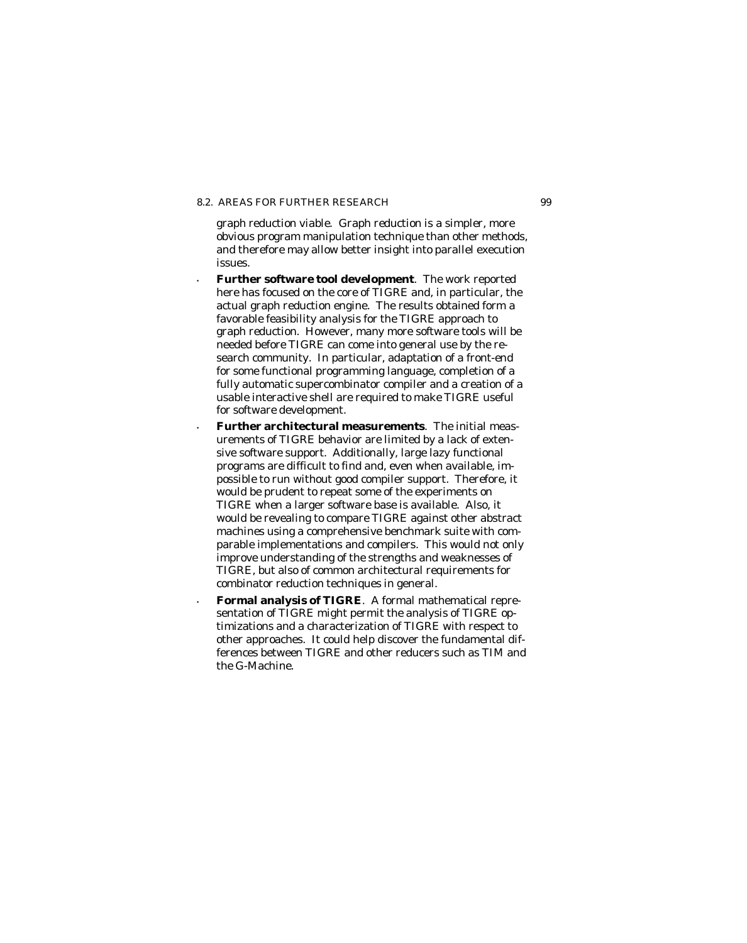## 8.2. AREAS FOR FURTHER RESEARCH 99

graph reduction viable. Graph reduction is a simpler, more obvious program manipulation technique than other methods, and therefore *may* allow better insight into parallel execution issues.

- **Further software tool development**. The work reported here has focused on the core of TIGRE and, in particular, the actual graph reduction engine. The results obtained form a favorable feasibility analysis for the TIGRE approach to graph reduction. However, many more software tools will be needed before TIGRE can come into general use by the research community. In particular, adaptation of a front-end for some functional programming language, completion of a fully automatic supercombinator compiler and a creation of a usable interactive shell are required to make TIGRE useful for software development.
- **Further architectural measurements**. The initial measurements of TIGRE behavior are limited by a lack of extensive software support. Additionally, large lazy functional programs are difficult to find and, even when available, impossible to run without good compiler support. Therefore, it would be prudent to repeat some of the experiments on TIGRE when a larger software base is available. Also, it would be revealing to compare TIGRE against other abstract machines using a comprehensive benchmark suite with comparable implementations and compilers. This would not only improve understanding of the strengths and weaknesses of TIGRE, but also of common architectural requirements for combinator reduction techniques in general.
- **Formal analysis of TIGRE**. A formal mathematical representation of TIGRE might permit the analysis of TIGRE optimizations and a characterization of TIGRE with respect to other approaches. It could help discover the fundamental differences between TIGRE and other reducers such as TIM and the G-Machine.